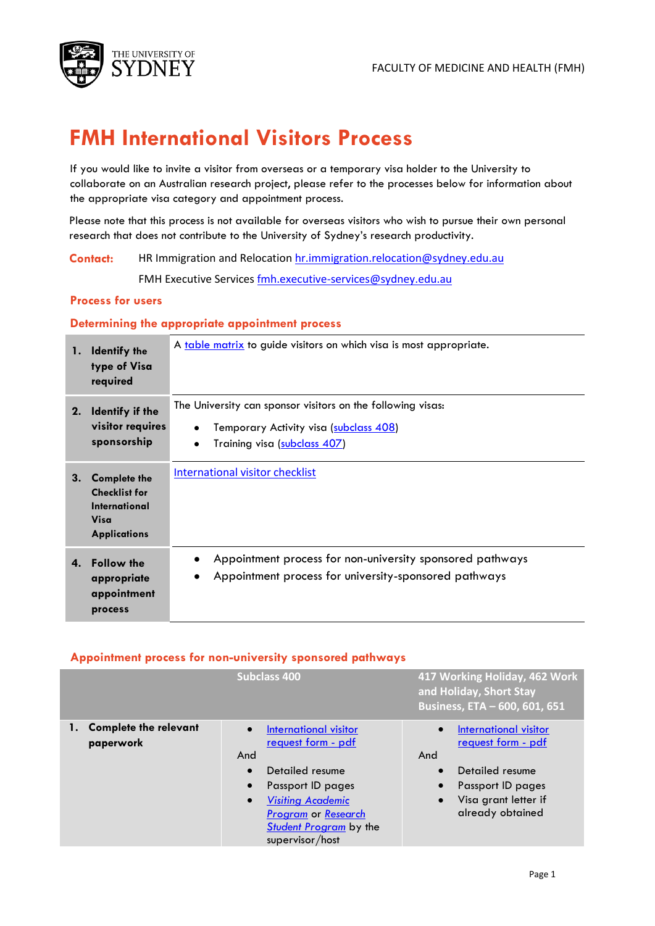

# **FMH International Visitors Process**

If you would like to invite a visitor from overseas or a temporary visa holder to the University to collaborate on an Australian research project, please refer to the processes below for information about the appropriate visa category and appointment process.

Please note that this process is not available for overseas visitors who wish to pursue their own personal research that does not contribute to the University of Sydney's research productivity.

**Contact:** HR Immigration and Relocation [hr.immigration.relocation@sydney.edu.au](mailto:hr.immigration.relocation@sydney.edu.au)

FMH Executive Service[s fmh.executive-services@sydney.edu.au](mailto:mfmh.executive-services@sydney.edu.au)

### **Process for users**

#### **Determining the appropriate appointment process**

| 1. | <b>Identify the</b><br>type of Visa<br>required                                                    | A table matrix to guide visitors on which visa is most appropriate.                                                                                |
|----|----------------------------------------------------------------------------------------------------|----------------------------------------------------------------------------------------------------------------------------------------------------|
| 2. | <b>Identify if the</b><br>visitor requires<br>sponsorship                                          | The University can sponsor visitors on the following visas:<br>Temporary Activity visa (subclass 408)<br>Training visa (subclass 407)<br>$\bullet$ |
| 3. | <b>Complete the</b><br><b>Checklist for</b><br><b>International</b><br>Visa<br><b>Applications</b> | International visitor checklist                                                                                                                    |
| 4. | <b>Follow the</b><br>appropriate<br>appointment<br>process                                         | Appointment process for non-university sponsored pathways<br>Appointment process for university-sponsored pathways                                 |

#### **Appointment process for non-university sponsored pathways**

|                                           | <b>Subclass 400</b>                                                                                                                                                                                                                       | 417 Working Holiday, 462 Work<br>and Holiday, Short Stay<br>Business, ETA - 600, 601, 651                                                                               |
|-------------------------------------------|-------------------------------------------------------------------------------------------------------------------------------------------------------------------------------------------------------------------------------------------|-------------------------------------------------------------------------------------------------------------------------------------------------------------------------|
| <b>Complete the relevant</b><br>paperwork | International visitor<br><u>request form - pdf</u><br>And<br>Detailed resume<br>$\bullet$<br>Passport ID pages<br><b>Visiting Academic</b><br>$\bullet$<br><b>Program or Research</b><br><b>Student Program</b> by the<br>supervisor/host | International visitor<br>$\bullet$<br><u>request form - pdf</u><br>And<br>Detailed resume<br>Passport ID pages<br>Visa grant letter if<br>$\bullet$<br>already obtained |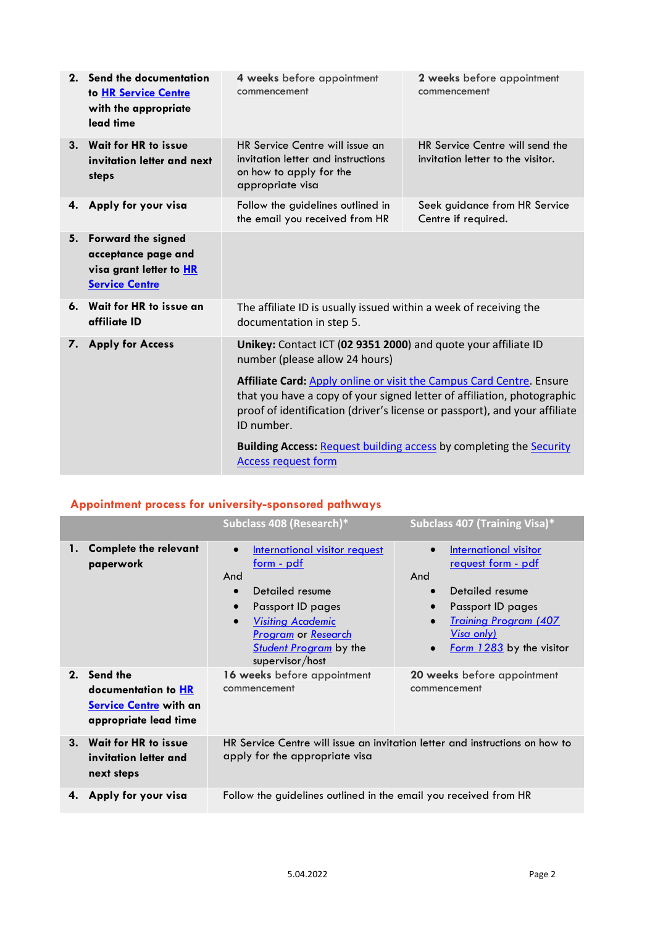| 2. | Send the documentation<br>to HR Service Centre<br>with the appropriate<br>lead time                  | 4 weeks before appointment<br>commencement                                                                           | 2 weeks before appointment<br>commencement                                                                                                            |
|----|------------------------------------------------------------------------------------------------------|----------------------------------------------------------------------------------------------------------------------|-------------------------------------------------------------------------------------------------------------------------------------------------------|
|    | 3. Wait for HR to issue<br>invitation letter and next<br>steps                                       | HR Service Centre will issue an<br>invitation letter and instructions<br>on how to apply for the<br>appropriate visa | HR Service Centre will send the<br>invitation letter to the visitor.                                                                                  |
| 4. | Apply for your visa                                                                                  | Follow the guidelines outlined in<br>the email you received from HR                                                  | Seek guidance from HR Service<br>Centre if required.                                                                                                  |
| 5. | <b>Forward the signed</b><br>acceptance page and<br>visa grant letter to HR<br><b>Service Centre</b> |                                                                                                                      |                                                                                                                                                       |
|    | 6. Wait for HR to issue an<br>affiliate ID                                                           | The affiliate ID is usually issued within a week of receiving the<br>documentation in step 5.                        |                                                                                                                                                       |
| 7. | <b>Apply for Access</b>                                                                              | Unikey: Contact ICT (02 9351 2000) and quote your affiliate ID<br>number (please allow 24 hours)                     |                                                                                                                                                       |
|    |                                                                                                      | Affiliate Card: Apply online or visit the Campus Card Centre. Ensure<br>ID number.                                   | that you have a copy of your signed letter of affiliation, photographic<br>proof of identification (driver's license or passport), and your affiliate |
|    |                                                                                                      | <b>Building Access: Request building access by completing the Security</b><br><b>Access request form</b>             |                                                                                                                                                       |

## **Appointment process for university-sponsored pathways**

|    |                                                                                              | Subclass 408 (Research)*                                                                                                                                                                                                                               | Subclass 407 (Training Visa)*                                                                                                                                                                                                            |
|----|----------------------------------------------------------------------------------------------|--------------------------------------------------------------------------------------------------------------------------------------------------------------------------------------------------------------------------------------------------------|------------------------------------------------------------------------------------------------------------------------------------------------------------------------------------------------------------------------------------------|
| 1. | <b>Complete the relevant</b><br>paperwork                                                    | International visitor request<br><u>form - pdf</u><br>And<br>Detailed resume<br>$\bullet$<br>Passport ID pages<br>$\bullet$<br><b>Visiting Academic</b><br>$\bullet$<br><b>Program or Research</b><br><b>Student Program</b> by the<br>supervisor/host | <b>International visitor</b><br>$\bullet$<br>request form - pdf<br>And<br>Detailed resume<br>$\bullet$<br>Passport ID pages<br>$\bullet$<br><b>Training Program (407</b><br>$\bullet$<br><u>Visa only)</u><br>Form $1283$ by the visitor |
|    | 2. Send the<br>documentation to HR<br><b>Service Centre with an</b><br>appropriate lead time | 16 weeks before appointment<br>commencement                                                                                                                                                                                                            | 20 weeks before appointment<br>commencement                                                                                                                                                                                              |
| 3. | <b>Wait for HR to issue</b><br>invitation letter and<br>next steps                           | apply for the appropriate visa                                                                                                                                                                                                                         | HR Service Centre will issue an invitation letter and instructions on how to                                                                                                                                                             |
| 4. | Apply for your visa                                                                          | Follow the guidelines outlined in the email you received from HR                                                                                                                                                                                       |                                                                                                                                                                                                                                          |